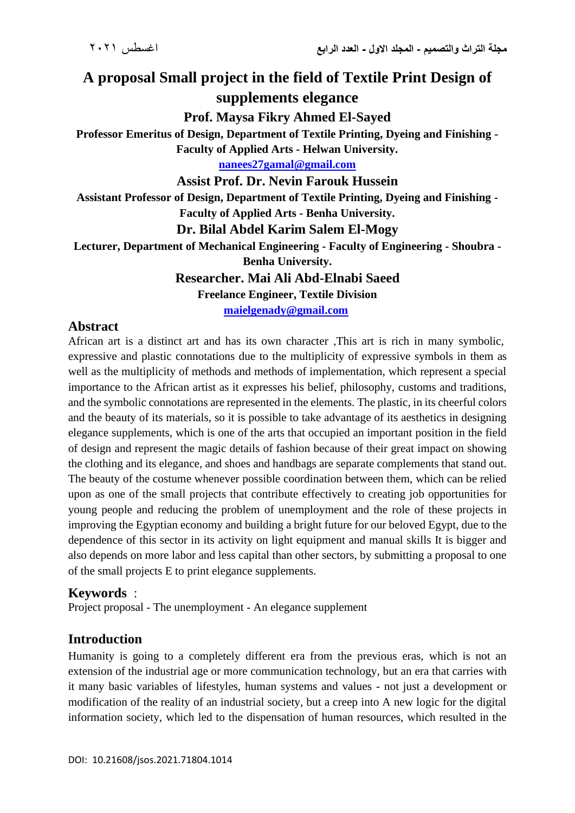# **A proposal Small project in the field of Textile Print Design of supplements elegance**

**Prof. Maysa Fikry Ahmed El-Sayed**

**Professor Emeritus of Design, Department of Textile Printing, Dyeing and Finishing -**

**Faculty of Applied Arts - Helwan University.**

**[nanees27gamal@gmail.com](mailto:nanees27gamal@gmail.com)**

**Assist Prof. Dr. Nevin Farouk Hussein**

**Assistant Professor of Design, Department of Textile Printing, Dyeing and Finishing - Faculty of Applied Arts - Benha University.**

### **Dr. Bilal Abdel Karim Salem El-Mogy**

**Lecturer, Department of Mechanical Engineering - Faculty of Engineering - Shoubra -**

**Benha University.**

**Researcher. Mai Ali Abd-Elnabi Saeed**

**Freelance Engineer, Textile Division**

**[maielgenady@gmail.com](mailto:maielgenady@gmail.com)** 

### **Abstract**

African art is a distinct art and has its own character ,This art is rich in many symbolic, expressive and plastic connotations due to the multiplicity of expressive symbols in them as well as the multiplicity of methods and methods of implementation, which represent a special importance to the African artist as it expresses his belief, philosophy, customs and traditions, and the symbolic connotations are represented in the elements. The plastic, in its cheerful colors and the beauty of its materials, so it is possible to take advantage of its aesthetics in designing elegance supplements, which is one of the arts that occupied an important position in the field of design and represent the magic details of fashion because of their great impact on showing the clothing and its elegance, and shoes and handbags are separate complements that stand out. The beauty of the costume whenever possible coordination between them, which can be relied upon as one of the small projects that contribute effectively to creating job opportunities for young people and reducing the problem of unemployment and the role of these projects in improving the Egyptian economy and building a bright future for our beloved Egypt, due to the dependence of this sector in its activity on light equipment and manual skills It is bigger and also depends on more labor and less capital than other sectors, by submitting a proposal to one of the small projects E to print elegance supplements.

#### **Keywords** :

Project proposal - The unemployment - An elegance supplement

### **Introduction**

Humanity is going to a completely different era from the previous eras, which is not an extension of the industrial age or more communication technology, but an era that carries with it many basic variables of lifestyles, human systems and values - not just a development or modification of the reality of an industrial society, but a creep into A new logic for the digital information society, which led to the dispensation of human resources, which resulted in the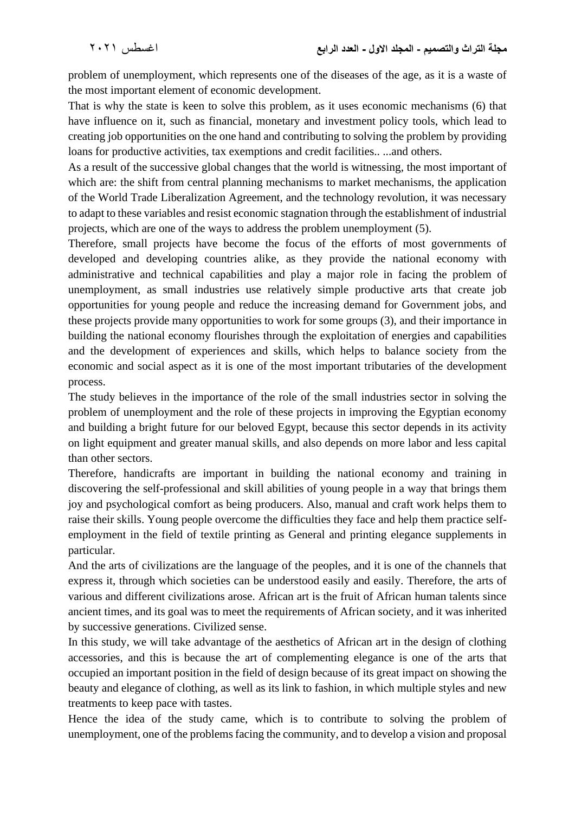problem of unemployment, which represents one of the diseases of the age, as it is a waste of the most important element of economic development.

That is why the state is keen to solve this problem, as it uses economic mechanisms (6) that have influence on it, such as financial, monetary and investment policy tools, which lead to creating job opportunities on the one hand and contributing to solving the problem by providing loans for productive activities, tax exemptions and credit facilities.. ...and others.

As a result of the successive global changes that the world is witnessing, the most important of which are: the shift from central planning mechanisms to market mechanisms, the application of the World Trade Liberalization Agreement, and the technology revolution, it was necessary to adapt to these variables and resist economic stagnation through the establishment of industrial projects, which are one of the ways to address the problem unemployment (5).

Therefore, small projects have become the focus of the efforts of most governments of developed and developing countries alike, as they provide the national economy with administrative and technical capabilities and play a major role in facing the problem of unemployment, as small industries use relatively simple productive arts that create job opportunities for young people and reduce the increasing demand for Government jobs, and these projects provide many opportunities to work for some groups (3), and their importance in building the national economy flourishes through the exploitation of energies and capabilities and the development of experiences and skills, which helps to balance society from the economic and social aspect as it is one of the most important tributaries of the development process.

The study believes in the importance of the role of the small industries sector in solving the problem of unemployment and the role of these projects in improving the Egyptian economy and building a bright future for our beloved Egypt, because this sector depends in its activity on light equipment and greater manual skills, and also depends on more labor and less capital than other sectors.

Therefore, handicrafts are important in building the national economy and training in discovering the self-professional and skill abilities of young people in a way that brings them joy and psychological comfort as being producers. Also, manual and craft work helps them to raise their skills. Young people overcome the difficulties they face and help them practice selfemployment in the field of textile printing as General and printing elegance supplements in particular.

And the arts of civilizations are the language of the peoples, and it is one of the channels that express it, through which societies can be understood easily and easily. Therefore, the arts of various and different civilizations arose. African art is the fruit of African human talents since ancient times, and its goal was to meet the requirements of African society, and it was inherited by successive generations. Civilized sense.

In this study, we will take advantage of the aesthetics of African art in the design of clothing accessories, and this is because the art of complementing elegance is one of the arts that occupied an important position in the field of design because of its great impact on showing the beauty and elegance of clothing, as well as its link to fashion, in which multiple styles and new treatments to keep pace with tastes.

Hence the idea of the study came, which is to contribute to solving the problem of unemployment, one of the problems facing the community, and to develop a vision and proposal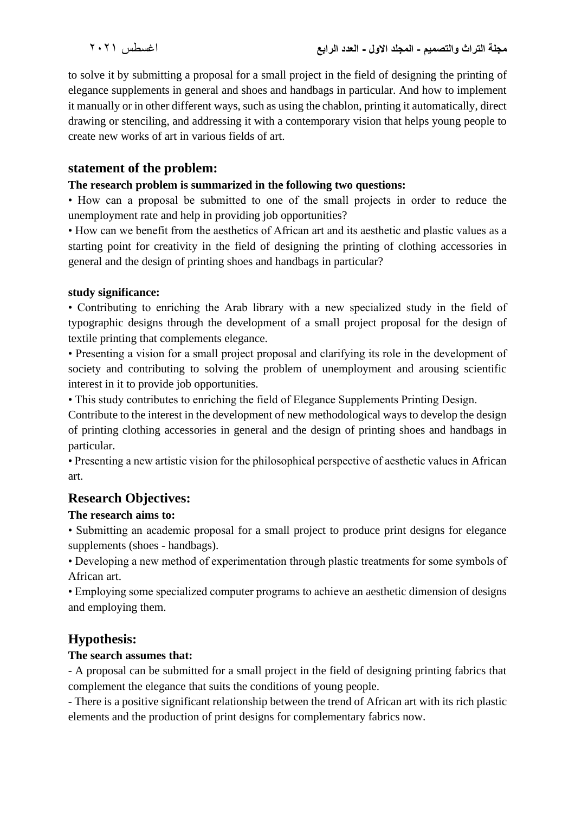to solve it by submitting a proposal for a small project in the field of designing the printing of elegance supplements in general and shoes and handbags in particular. And how to implement it manually or in other different ways, such as using the chablon, printing it automatically, direct drawing or stenciling, and addressing it with a contemporary vision that helps young people to create new works of art in various fields of art.

### **statement of the problem:**

#### **The research problem is summarized in the following two questions:**

• How can a proposal be submitted to one of the small projects in order to reduce the unemployment rate and help in providing job opportunities?

• How can we benefit from the aesthetics of African art and its aesthetic and plastic values as a starting point for creativity in the field of designing the printing of clothing accessories in general and the design of printing shoes and handbags in particular?

#### **study significance:**

• Contributing to enriching the Arab library with a new specialized study in the field of typographic designs through the development of a small project proposal for the design of textile printing that complements elegance.

• Presenting a vision for a small project proposal and clarifying its role in the development of society and contributing to solving the problem of unemployment and arousing scientific interest in it to provide job opportunities.

• This study contributes to enriching the field of Elegance Supplements Printing Design.

Contribute to the interest in the development of new methodological ways to develop the design of printing clothing accessories in general and the design of printing shoes and handbags in particular.

• Presenting a new artistic vision for the philosophical perspective of aesthetic values in African art.

# **Research Objectives:**

#### **The research aims to:**

• Submitting an academic proposal for a small project to produce print designs for elegance supplements (shoes - handbags).

• Developing a new method of experimentation through plastic treatments for some symbols of African art.

• Employing some specialized computer programs to achieve an aesthetic dimension of designs and employing them.

# **Hypothesis:**

### **The search assumes that:**

- A proposal can be submitted for a small project in the field of designing printing fabrics that complement the elegance that suits the conditions of young people.

- There is a positive significant relationship between the trend of African art with its rich plastic elements and the production of print designs for complementary fabrics now.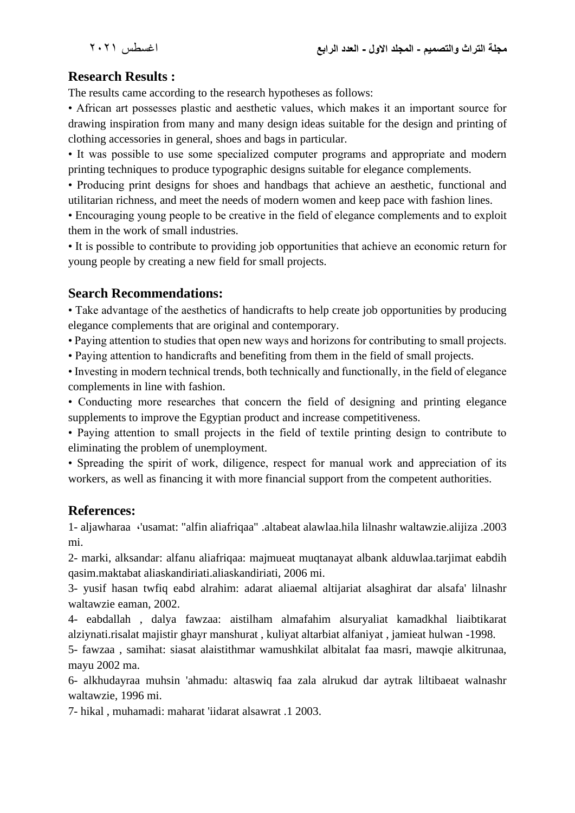# **Research Results :**

The results came according to the research hypotheses as follows:

• African art possesses plastic and aesthetic values, which makes it an important source for drawing inspiration from many and many design ideas suitable for the design and printing of clothing accessories in general, shoes and bags in particular.

• It was possible to use some specialized computer programs and appropriate and modern printing techniques to produce typographic designs suitable for elegance complements.

• Producing print designs for shoes and handbags that achieve an aesthetic, functional and utilitarian richness, and meet the needs of modern women and keep pace with fashion lines.

• Encouraging young people to be creative in the field of elegance complements and to exploit them in the work of small industries.

• It is possible to contribute to providing job opportunities that achieve an economic return for young people by creating a new field for small projects.

### **Search Recommendations:**

• Take advantage of the aesthetics of handicrafts to help create job opportunities by producing elegance complements that are original and contemporary.

• Paying attention to studies that open new ways and horizons for contributing to small projects.

• Paying attention to handicrafts and benefiting from them in the field of small projects.

• Investing in modern technical trends, both technically and functionally, in the field of elegance complements in line with fashion.

• Conducting more researches that concern the field of designing and printing elegance supplements to improve the Egyptian product and increase competitiveness.

• Paying attention to small projects in the field of textile printing design to contribute to eliminating the problem of unemployment.

• Spreading the spirit of work, diligence, respect for manual work and appreciation of its workers, as well as financing it with more financial support from the competent authorities.

# **References:**

1- aljawharaa ،'usamat: "alfin aliafriqaa" .altabeat alawlaa.hila lilnashr waltawzie.alijiza .2003 mi.

2- marki, alksandar: alfanu aliafriqaa: majmueat muqtanayat albank alduwlaa.tarjimat eabdih qasim.maktabat aliaskandiriati.aliaskandiriati, 2006 mi.

3- yusif hasan twfiq eabd alrahim: adarat aliaemal altijariat alsaghirat dar alsafa' lilnashr waltawzie eaman, 2002.

4- eabdallah , dalya fawzaa: aistilham almafahim alsuryaliat kamadkhal liaibtikarat alziynati.risalat majistir ghayr manshurat , kuliyat altarbiat alfaniyat , jamieat hulwan -1998.

5- fawzaa , samihat: siasat alaistithmar wamushkilat albitalat faa masri, mawqie alkitrunaa, mayu 2002 ma.

6- alkhudayraa muhsin 'ahmadu: altaswiq faa zala alrukud dar aytrak liltibaeat walnashr waltawzie, 1996 mi.

7- hikal , muhamadi: maharat 'iidarat alsawrat .1 2003.